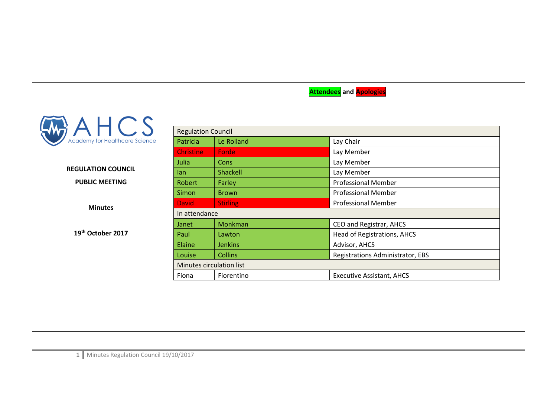|                           |                           |                 | <b>Attendees</b> and <b>Apologies</b> |  |
|---------------------------|---------------------------|-----------------|---------------------------------------|--|
| $A \nleftarrow$ A $HCS$   |                           |                 |                                       |  |
|                           | <b>Regulation Council</b> |                 |                                       |  |
|                           | Patricia                  | Le Rolland      | Lay Chair                             |  |
|                           | <b>Christine</b>          | Forde           | Lay Member                            |  |
|                           | Julia                     | Cons            | Lay Member                            |  |
| <b>REGULATION COUNCIL</b> | lan                       | Shackell        | Lay Member                            |  |
| <b>PUBLIC MEETING</b>     | <b>Robert</b>             | Farley          | <b>Professional Member</b>            |  |
|                           | Simon                     | <b>Brown</b>    | <b>Professional Member</b>            |  |
| <b>Minutes</b>            | <b>David</b>              | <b>Stirling</b> | <b>Professional Member</b>            |  |
|                           | In attendance             |                 |                                       |  |
|                           | Janet                     | Monkman         | CEO and Registrar, AHCS               |  |
| 19th October 2017         | Paul                      | Lawton          | Head of Registrations, AHCS           |  |
|                           | Elaine                    | <b>Jenkins</b>  | Advisor, AHCS                         |  |
|                           | Louise                    | <b>Collins</b>  | Registrations Administrator, EBS      |  |
|                           | Minutes circulation list  |                 |                                       |  |
|                           | Fiona                     | Fiorentino      | <b>Executive Assistant, AHCS</b>      |  |
|                           |                           |                 |                                       |  |
|                           |                           |                 |                                       |  |
|                           |                           |                 |                                       |  |
|                           |                           |                 |                                       |  |
|                           |                           |                 |                                       |  |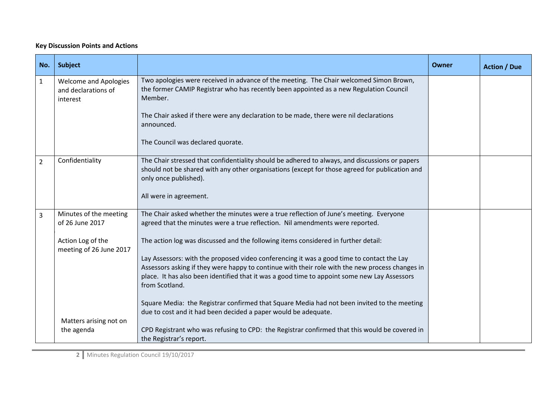## **Key Discussion Points and Actions**

| No.            | <b>Subject</b>                                                  |                                                                                                                                                                                                                                                                                                                | <b>Owner</b> | <b>Action / Due</b> |
|----------------|-----------------------------------------------------------------|----------------------------------------------------------------------------------------------------------------------------------------------------------------------------------------------------------------------------------------------------------------------------------------------------------------|--------------|---------------------|
| $\mathbf{1}$   | <b>Welcome and Apologies</b><br>and declarations of<br>interest | Two apologies were received in advance of the meeting. The Chair welcomed Simon Brown,<br>the former CAMIP Registrar who has recently been appointed as a new Regulation Council<br>Member.                                                                                                                    |              |                     |
|                |                                                                 | The Chair asked if there were any declaration to be made, there were nil declarations<br>announced.                                                                                                                                                                                                            |              |                     |
|                |                                                                 | The Council was declared quorate.                                                                                                                                                                                                                                                                              |              |                     |
| $\overline{2}$ | Confidentiality                                                 | The Chair stressed that confidentiality should be adhered to always, and discussions or papers<br>should not be shared with any other organisations (except for those agreed for publication and<br>only once published).                                                                                      |              |                     |
|                |                                                                 | All were in agreement.                                                                                                                                                                                                                                                                                         |              |                     |
| 3              | Minutes of the meeting<br>of 26 June 2017                       | The Chair asked whether the minutes were a true reflection of June's meeting. Everyone<br>agreed that the minutes were a true reflection. Nil amendments were reported.                                                                                                                                        |              |                     |
|                | Action Log of the<br>meeting of 26 June 2017                    | The action log was discussed and the following items considered in further detail:                                                                                                                                                                                                                             |              |                     |
|                |                                                                 | Lay Assessors: with the proposed video conferencing it was a good time to contact the Lay<br>Assessors asking if they were happy to continue with their role with the new process changes in<br>place. It has also been identified that it was a good time to appoint some new Lay Assessors<br>from Scotland. |              |                     |
|                |                                                                 | Square Media: the Registrar confirmed that Square Media had not been invited to the meeting<br>due to cost and it had been decided a paper would be adequate.                                                                                                                                                  |              |                     |
|                | Matters arising not on<br>the agenda                            | CPD Registrant who was refusing to CPD: the Registrar confirmed that this would be covered in<br>the Registrar's report.                                                                                                                                                                                       |              |                     |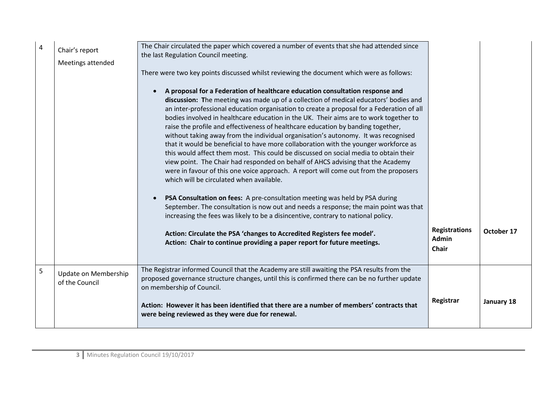| 4 | Chair's report<br>Meetings attended    | The Chair circulated the paper which covered a number of events that she had attended since<br>the last Regulation Council meeting.<br>There were two key points discussed whilst reviewing the document which were as follows:<br>A proposal for a Federation of healthcare education consultation response and<br>discussion: The meeting was made up of a collection of medical educators' bodies and<br>an inter-professional education organisation to create a proposal for a Federation of all<br>bodies involved in healthcare education in the UK. Their aims are to work together to<br>raise the profile and effectiveness of healthcare education by banding together,<br>without taking away from the individual organisation's autonomy. It was recognised<br>that it would be beneficial to have more collaboration with the younger workforce as<br>this would affect them most. This could be discussed on social media to obtain their<br>view point. The Chair had responded on behalf of AHCS advising that the Academy<br>were in favour of this one voice approach. A report will come out from the proposers<br>which will be circulated when available.<br>PSA Consultation on fees: A pre-consultation meeting was held by PSA during<br>September. The consultation is now out and needs a response; the main point was that<br>increasing the fees was likely to be a disincentive, contrary to national policy.<br>Action: Circulate the PSA 'changes to Accredited Registers fee model'.<br>Action: Chair to continue providing a paper report for future meetings. | <b>Registrations</b><br><b>Admin</b><br>Chair | October 17 |
|---|----------------------------------------|--------------------------------------------------------------------------------------------------------------------------------------------------------------------------------------------------------------------------------------------------------------------------------------------------------------------------------------------------------------------------------------------------------------------------------------------------------------------------------------------------------------------------------------------------------------------------------------------------------------------------------------------------------------------------------------------------------------------------------------------------------------------------------------------------------------------------------------------------------------------------------------------------------------------------------------------------------------------------------------------------------------------------------------------------------------------------------------------------------------------------------------------------------------------------------------------------------------------------------------------------------------------------------------------------------------------------------------------------------------------------------------------------------------------------------------------------------------------------------------------------------------------------------------------------------------------------------------------------|-----------------------------------------------|------------|
| 5 | Update on Membership<br>of the Council | The Registrar informed Council that the Academy are still awaiting the PSA results from the<br>proposed governance structure changes, until this is confirmed there can be no further update<br>on membership of Council.<br>Action: However it has been identified that there are a number of members' contracts that<br>were being reviewed as they were due for renewal.                                                                                                                                                                                                                                                                                                                                                                                                                                                                                                                                                                                                                                                                                                                                                                                                                                                                                                                                                                                                                                                                                                                                                                                                                      | Registrar                                     | January 18 |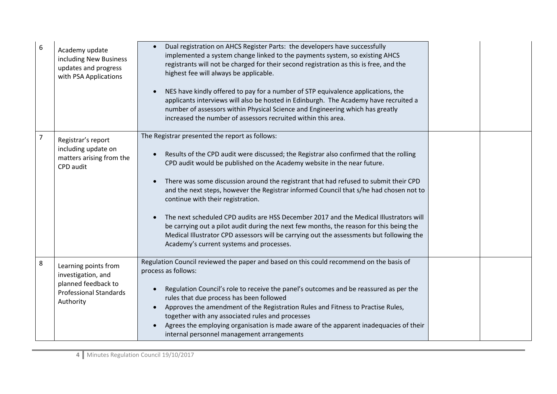| 6 | Academy update<br>including New Business<br>updates and progress<br>with PSA Applications                       | Dual registration on AHCS Register Parts: the developers have successfully<br>implemented a system change linked to the payments system, so existing AHCS<br>registrants will not be charged for their second registration as this is free, and the<br>highest fee will always be applicable.<br>NES have kindly offered to pay for a number of STP equivalence applications, the<br>applicants interviews will also be hosted in Edinburgh. The Academy have recruited a<br>number of assessors within Physical Science and Engineering which has greatly<br>increased the number of assessors recruited within this area.                                                                                                                                            |  |
|---|-----------------------------------------------------------------------------------------------------------------|------------------------------------------------------------------------------------------------------------------------------------------------------------------------------------------------------------------------------------------------------------------------------------------------------------------------------------------------------------------------------------------------------------------------------------------------------------------------------------------------------------------------------------------------------------------------------------------------------------------------------------------------------------------------------------------------------------------------------------------------------------------------|--|
| 7 | Registrar's report<br>including update on<br>matters arising from the<br>CPD audit                              | The Registrar presented the report as follows:<br>Results of the CPD audit were discussed; the Registrar also confirmed that the rolling<br>CPD audit would be published on the Academy website in the near future.<br>There was some discussion around the registrant that had refused to submit their CPD<br>and the next steps, however the Registrar informed Council that s/he had chosen not to<br>continue with their registration.<br>The next scheduled CPD audits are HSS December 2017 and the Medical Illustrators will<br>be carrying out a pilot audit during the next few months, the reason for this being the<br>Medical Illustrator CPD assessors will be carrying out the assessments but following the<br>Academy's current systems and processes. |  |
| 8 | Learning points from<br>investigation, and<br>planned feedback to<br><b>Professional Standards</b><br>Authority | Regulation Council reviewed the paper and based on this could recommend on the basis of<br>process as follows:<br>Regulation Council's role to receive the panel's outcomes and be reassured as per the<br>rules that due process has been followed<br>Approves the amendment of the Registration Rules and Fitness to Practise Rules,<br>together with any associated rules and processes<br>Agrees the employing organisation is made aware of the apparent inadequacies of their<br>internal personnel management arrangements                                                                                                                                                                                                                                      |  |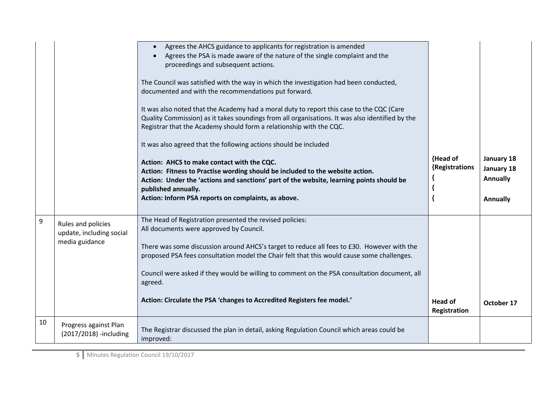|    |                                                 | Agrees the AHCS guidance to applicants for registration is amended<br>Agrees the PSA is made aware of the nature of the single complaint and the<br>proceedings and subsequent actions.<br>The Council was satisfied with the way in which the investigation had been conducted,<br>documented and with the recommendations put forward.<br>It was also noted that the Academy had a moral duty to report this case to the CQC (Care<br>Quality Commission) as it takes soundings from all organisations. It was also identified by the<br>Registrar that the Academy should form a relationship with the CQC.<br>It was also agreed that the following actions should be included<br>Action: AHCS to make contact with the CQC.<br>Action: Fitness to Practise wording should be included to the website action. | {Head of<br>{Registrations     | January 18<br>January 18 |
|----|-------------------------------------------------|-------------------------------------------------------------------------------------------------------------------------------------------------------------------------------------------------------------------------------------------------------------------------------------------------------------------------------------------------------------------------------------------------------------------------------------------------------------------------------------------------------------------------------------------------------------------------------------------------------------------------------------------------------------------------------------------------------------------------------------------------------------------------------------------------------------------|--------------------------------|--------------------------|
|    |                                                 | Action: Under the 'actions and sanctions' part of the website, learning points should be<br>published annually.                                                                                                                                                                                                                                                                                                                                                                                                                                                                                                                                                                                                                                                                                                   |                                | <b>Annually</b>          |
|    |                                                 | Action: Inform PSA reports on complaints, as above.                                                                                                                                                                                                                                                                                                                                                                                                                                                                                                                                                                                                                                                                                                                                                               |                                | Annually                 |
| 9  | Rules and policies                              | The Head of Registration presented the revised policies:<br>All documents were approved by Council.                                                                                                                                                                                                                                                                                                                                                                                                                                                                                                                                                                                                                                                                                                               |                                |                          |
|    | update, including social<br>media guidance      |                                                                                                                                                                                                                                                                                                                                                                                                                                                                                                                                                                                                                                                                                                                                                                                                                   |                                |                          |
|    |                                                 | There was some discussion around AHCS's target to reduce all fees to £30. However with the<br>proposed PSA fees consultation model the Chair felt that this would cause some challenges.                                                                                                                                                                                                                                                                                                                                                                                                                                                                                                                                                                                                                          |                                |                          |
|    |                                                 | Council were asked if they would be willing to comment on the PSA consultation document, all<br>agreed.                                                                                                                                                                                                                                                                                                                                                                                                                                                                                                                                                                                                                                                                                                           |                                |                          |
|    |                                                 | Action: Circulate the PSA 'changes to Accredited Registers fee model.'                                                                                                                                                                                                                                                                                                                                                                                                                                                                                                                                                                                                                                                                                                                                            | <b>Head of</b><br>Registration | October 17               |
| 10 | Progress against Plan<br>(2017/2018) -including | The Registrar discussed the plan in detail, asking Regulation Council which areas could be<br>improved:                                                                                                                                                                                                                                                                                                                                                                                                                                                                                                                                                                                                                                                                                                           |                                |                          |

**5** Minutes Regulation Council 19/10/2017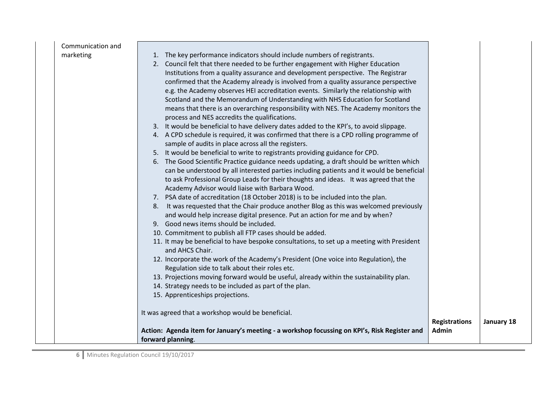|                                | Action: Agenda item for January's meeting - a workshop focussing on KPI's, Risk Register and<br>forward planning.                                                                                                                                                                                                                                                                                                                                                                                                                                                                                                                                                                                                                                                                                                                                                                                                                                                                                                                                                                                                                                                                           | <b>Registrations</b><br>Admin | January 18 |
|--------------------------------|---------------------------------------------------------------------------------------------------------------------------------------------------------------------------------------------------------------------------------------------------------------------------------------------------------------------------------------------------------------------------------------------------------------------------------------------------------------------------------------------------------------------------------------------------------------------------------------------------------------------------------------------------------------------------------------------------------------------------------------------------------------------------------------------------------------------------------------------------------------------------------------------------------------------------------------------------------------------------------------------------------------------------------------------------------------------------------------------------------------------------------------------------------------------------------------------|-------------------------------|------------|
|                                | 12. Incorporate the work of the Academy's President (One voice into Regulation), the<br>Regulation side to talk about their roles etc.<br>13. Projections moving forward would be useful, already within the sustainability plan.<br>14. Strategy needs to be included as part of the plan.<br>15. Apprenticeships projections.<br>It was agreed that a workshop would be beneficial.                                                                                                                                                                                                                                                                                                                                                                                                                                                                                                                                                                                                                                                                                                                                                                                                       |                               |            |
|                                | Academy Advisor would liaise with Barbara Wood.<br>7. PSA date of accreditation (18 October 2018) is to be included into the plan.<br>8. It was requested that the Chair produce another Blog as this was welcomed previously<br>and would help increase digital presence. Put an action for me and by when?<br>9. Good news items should be included.<br>10. Commitment to publish all FTP cases should be added.<br>11. It may be beneficial to have bespoke consultations, to set up a meeting with President<br>and AHCS Chair.                                                                                                                                                                                                                                                                                                                                                                                                                                                                                                                                                                                                                                                         |                               |            |
|                                | 2. Council felt that there needed to be further engagement with Higher Education<br>Institutions from a quality assurance and development perspective. The Registrar<br>confirmed that the Academy already is involved from a quality assurance perspective<br>e.g. the Academy observes HEI accreditation events. Similarly the relationship with<br>Scotland and the Memorandum of Understanding with NHS Education for Scotland<br>means that there is an overarching responsibility with NES. The Academy monitors the<br>process and NES accredits the qualifications.<br>3. It would be beneficial to have delivery dates added to the KPI's, to avoid slippage.<br>4. A CPD schedule is required, it was confirmed that there is a CPD rolling programme of<br>sample of audits in place across all the registers.<br>5. It would be beneficial to write to registrants providing guidance for CPD.<br>6. The Good Scientific Practice guidance needs updating, a draft should be written which<br>can be understood by all interested parties including patients and it would be beneficial<br>to ask Professional Group Leads for their thoughts and ideas. It was agreed that the |                               |            |
| Communication and<br>marketing | 1. The key performance indicators should include numbers of registrants.                                                                                                                                                                                                                                                                                                                                                                                                                                                                                                                                                                                                                                                                                                                                                                                                                                                                                                                                                                                                                                                                                                                    |                               |            |

**6** Minutes Regulation Council 19/10/2017